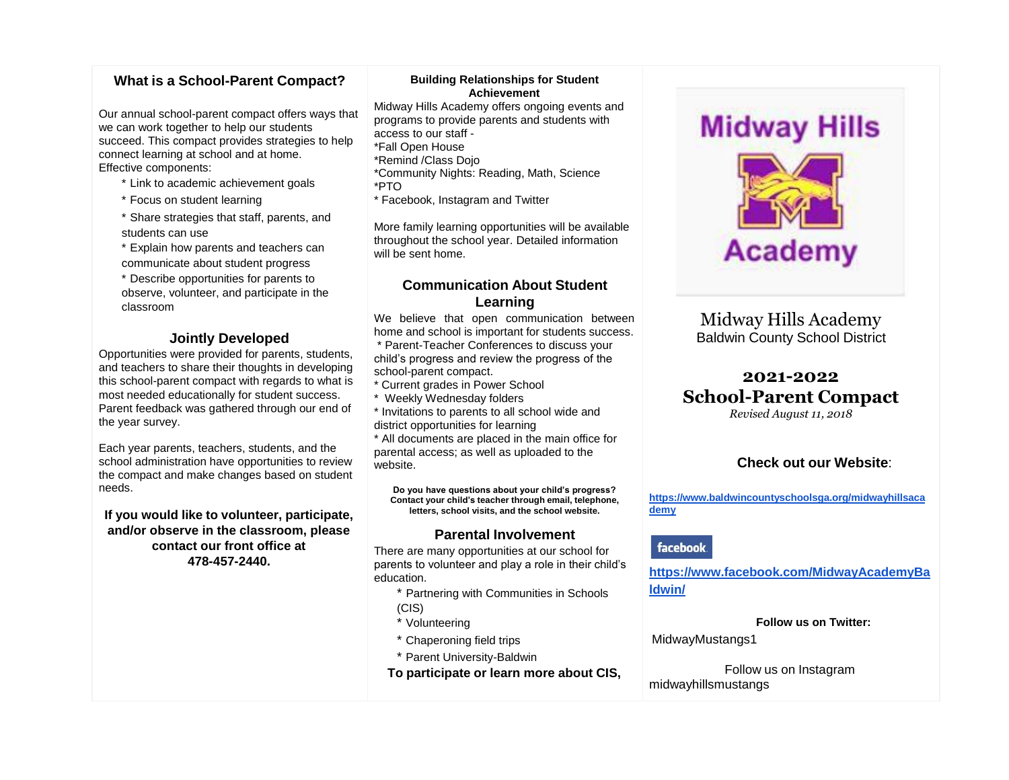## **What is a School-Parent Compact?**

Our annual school-parent compact offers ways that we can work together to help our students succeed. This compact provides strategies to help connect learning at school and at home. Effective components:

- \* Link to academic achievement goals
- \* Focus on student learning
- \* Share strategies that staff, parents, and students can use
- \* Explain how parents and teachers can communicate about student progress
- \* Describe opportunities for parents to observe, volunteer, and participate in the classroom

#### **Jointly Developed**

Opportunities were provided for parents, students, and teachers to share their thoughts in developing this school-parent compact with regards to what is most needed educationally for student success. Parent feedback was gathered through our end of the year survey.

Each year parents, teachers, students, and the school administration have opportunities to review the compact and make changes based on student needs.

**If you would like to volunteer, participate, and/or observe in the classroom, please contact our front office at 478-457-2440.**

#### **Building Relationships for Student Achievement**

Midway Hills Academy offers ongoing events and programs to provide parents and students with access to our staff - \*Fall Open House \*Remind /Class Dojo \*Community Nights: Reading, Math, Science

- \*PTO
- \* Facebook, Instagram and Twitter

More family learning opportunities will be available throughout the school year. Detailed information will be sent home.

#### **Communication About Student Learning**

We believe that open communication between home and school is important for students success. \* Parent-Teacher Conferences to discuss your child's progress and review the progress of the

- school-parent compact.
- \* Current grades in Power School
- \* Weekly Wednesday folders
- \* Invitations to parents to all school wide and district opportunities for learning

\* All documents are placed in the main office for parental access; as well as uploaded to the website.

**Do you have questions about your child's progress? Contact your child's teacher through email, telephone, letters, school visits, and the school website.**

#### **Parental Involvement**

There are many opportunities at our school for parents to volunteer and play a role in their child's education.

\* Partnering with Communities in Schools

- (CIS)
- \* Volunteering
- \* Chaperoning field trips
- \* Parent University-Baldwin

**To participate or learn more about CIS,**

# **Midway Hills**



Midway Hills Academy Baldwin County School District

# **2021-2022 School-Parent Compact**

*Revised August 11, 2018*

#### **Check out our Website**:

**[https://www.baldwincountyschoolsga.org/midwayhillsaca](https://www.baldwincountyschoolsga.org/midwayhillsacademy) [demy](https://www.baldwincountyschoolsga.org/midwayhillsacademy)**

#### facebook.

**[https://www.facebook.com/MidwayAcademyBa](https://www.facebook.com/MidwayAcademyBaldwin/) [ldwin/](https://www.facebook.com/MidwayAcademyBaldwin/)**

**Follow us on Twitter:**

MidwayMustangs1

Follow us on Instagram midwayhillsmustangs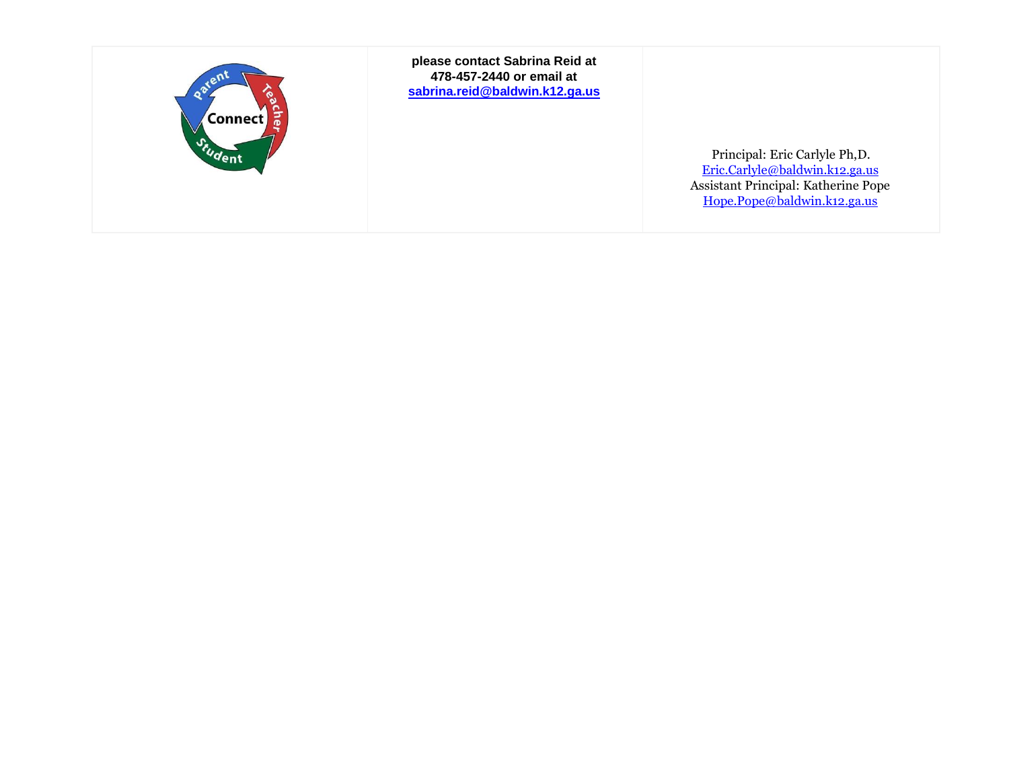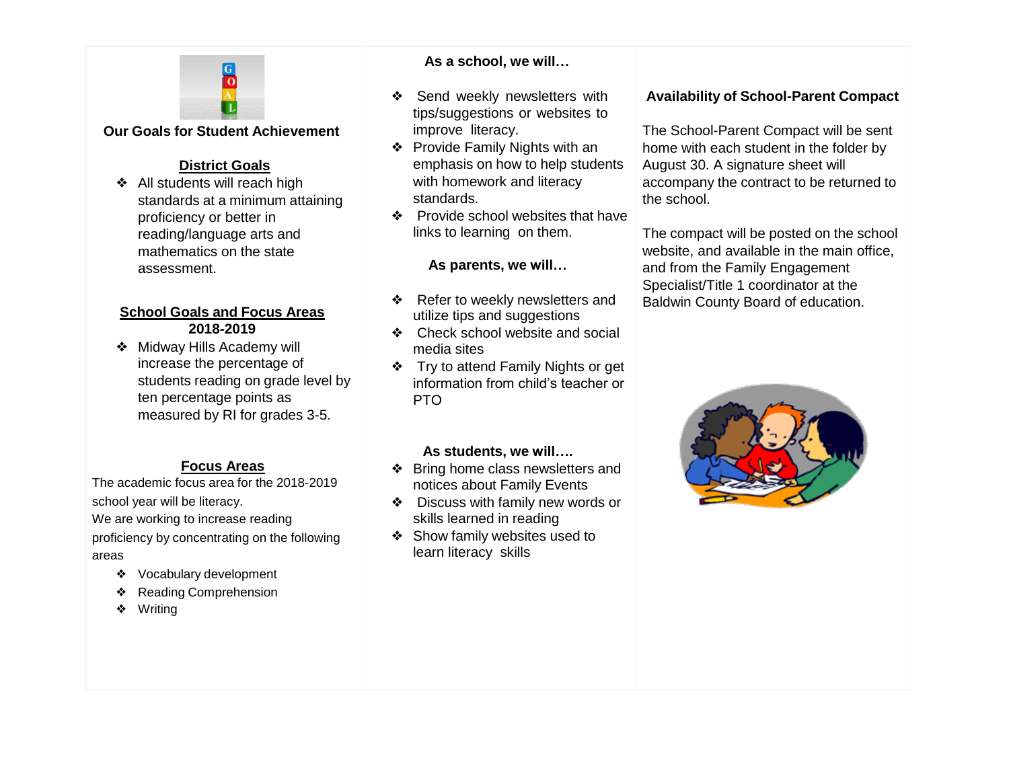

## **Our Goals for Student Achievement**

## **District Goals**

❖ All students will reach high standards at a minimum attaining proficiency or better in reading/language arts and mathematics on the state assessment.

## **School Goals and Focus Areas 2018-2019**

❖ Midway Hills Academy will increase the percentage of students reading on grade level by ten percentage points as measured by RI for grades 3-5.

## **Focus Areas**

The academic focus area for the 2018-2019 school year will be literacy. We are working to increase reading proficiency by concentrating on the following areas

- ❖ Vocabulary development
- ❖ Reading Comprehension
- ❖ Writing

## **As a school, we will…**

- ❖ Send weekly newsletters with tips/suggestions or websites to improve literacy.
- ❖ Provide Family Nights with an emphasis on how to help students with homework and literacy standards.
- ❖ Provide school websites that have links to learning on them.

## **As parents, we will…**

- ❖ Refer to weekly newsletters and utilize tips and suggestions
- ❖ Check school website and social media sites
- ❖ Try to attend Family Nights or get information from child's teacher or PTO

## **As students, we will….**

- ❖ Bring home class newsletters and notices about Family Events
- ❖ Discuss with family new words or skills learned in reading
- ❖ Show family websites used to learn literacy skills

## **Availability of School-Parent Compact**

The School-Parent Compact will be sent home with each student in the folder by August 30. A signature sheet will accompany the contract to be returned to the school.

The compact will be posted on the school website, and available in the main office, and from the Family Engagement Specialist/Title 1 coordinator at the Baldwin County Board of education.